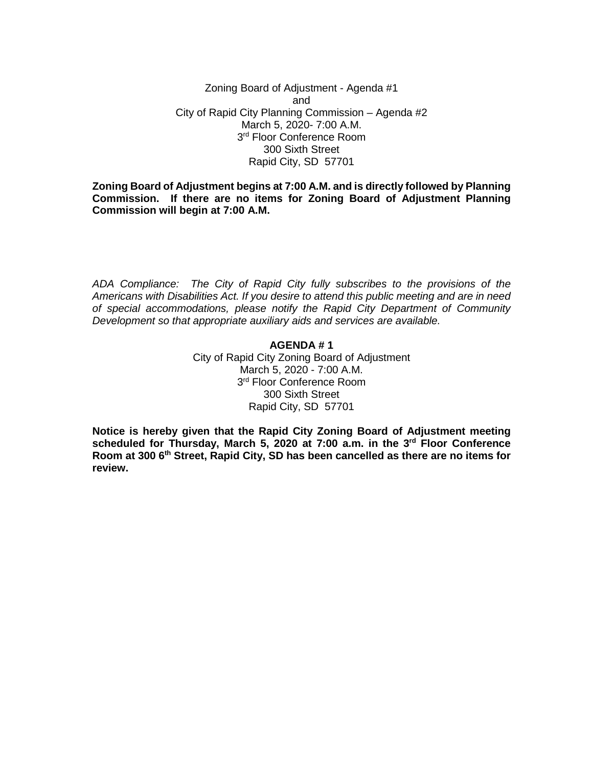Zoning Board of Adjustment - Agenda #1 and City of Rapid City Planning Commission – Agenda #2 March 5, 2020- 7:00 A.M. 3<sup>rd</sup> Floor Conference Room 300 Sixth Street Rapid City, SD 57701

**Zoning Board of Adjustment begins at 7:00 A.M. and is directly followed by Planning Commission. If there are no items for Zoning Board of Adjustment Planning Commission will begin at 7:00 A.M.**

*ADA Compliance: The City of Rapid City fully subscribes to the provisions of the Americans with Disabilities Act. If you desire to attend this public meeting and are in need of special accommodations, please notify the Rapid City Department of Community Development so that appropriate auxiliary aids and services are available.*

# **AGENDA # 1**

City of Rapid City Zoning Board of Adjustment March 5, 2020 - 7:00 A.M. 3<sup>rd</sup> Floor Conference Room 300 Sixth Street Rapid City, SD 57701

**Notice is hereby given that the Rapid City Zoning Board of Adjustment meeting scheduled for Thursday, March 5, 2020 at 7:00 a.m. in the 3rd Floor Conference Room at 300 6th Street, Rapid City, SD has been cancelled as there are no items for review.**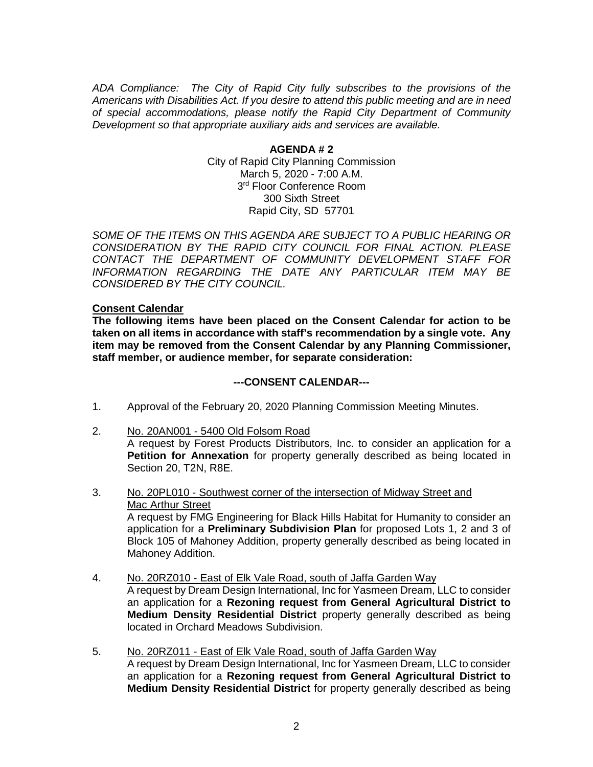*ADA Compliance: The City of Rapid City fully subscribes to the provisions of the Americans with Disabilities Act. If you desire to attend this public meeting and are in need of special accommodations, please notify the Rapid City Department of Community Development so that appropriate auxiliary aids and services are available.*

> **AGENDA # 2** City of Rapid City Planning Commission March 5, 2020 - 7:00 A.M. 3<sup>rd</sup> Floor Conference Room 300 Sixth Street Rapid City, SD 57701

*SOME OF THE ITEMS ON THIS AGENDA ARE SUBJECT TO A PUBLIC HEARING OR CONSIDERATION BY THE RAPID CITY COUNCIL FOR FINAL ACTION. PLEASE CONTACT THE DEPARTMENT OF COMMUNITY DEVELOPMENT STAFF FOR INFORMATION REGARDING THE DATE ANY PARTICULAR ITEM MAY BE CONSIDERED BY THE CITY COUNCIL.*

### **Consent Calendar**

**The following items have been placed on the Consent Calendar for action to be taken on all items in accordance with staff's recommendation by a single vote. Any item may be removed from the Consent Calendar by any Planning Commissioner, staff member, or audience member, for separate consideration:**

#### **---CONSENT CALENDAR---**

- 1. Approval of the February 20, 2020 Planning Commission Meeting Minutes.
- 2. No. 20AN001 5400 Old Folsom Road A request by Forest Products Distributors, Inc. to consider an application for a **Petition for Annexation** for property generally described as being located in Section 20, T2N, R8E.
- 3. No. 20PL010 Southwest corner of the intersection of Midway Street and Mac Arthur Street A request by FMG Engineering for Black Hills Habitat for Humanity to consider an application for a **Preliminary Subdivision Plan** for proposed Lots 1, 2 and 3 of Block 105 of Mahoney Addition, property generally described as being located in Mahoney Addition.
- 4. No. 20RZ010 East of Elk Vale Road, south of Jaffa Garden Way A request by Dream Design International, Inc for Yasmeen Dream, LLC to consider an application for a **Rezoning request from General Agricultural District to Medium Density Residential District** property generally described as being located in Orchard Meadows Subdivision.
- 5. No. 20RZ011 East of Elk Vale Road, south of Jaffa Garden Way A request by Dream Design International, Inc for Yasmeen Dream, LLC to consider an application for a **Rezoning request from General Agricultural District to Medium Density Residential District** for property generally described as being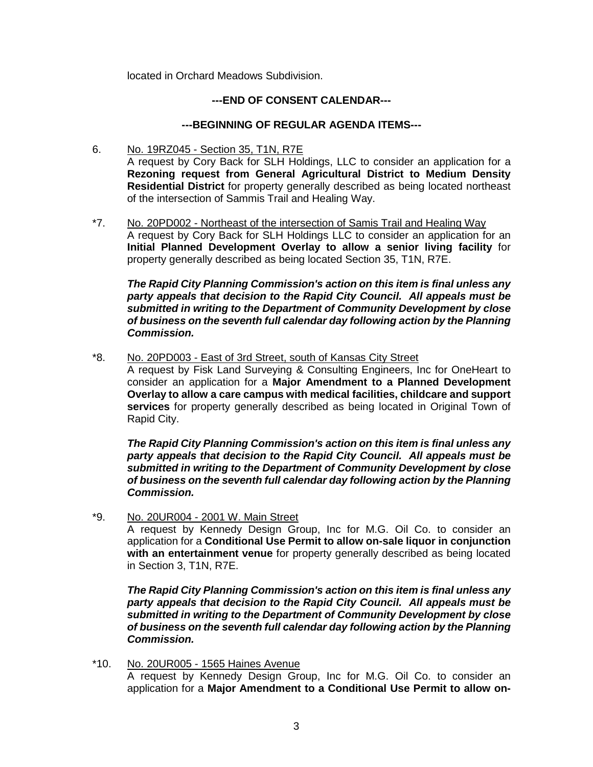located in Orchard Meadows Subdivision.

# **---END OF CONSENT CALENDAR---**

## **---BEGINNING OF REGULAR AGENDA ITEMS---**

- 6. No. 19RZ045 Section 35, T1N, R7E A request by Cory Back for SLH Holdings, LLC to consider an application for a **Rezoning request from General Agricultural District to Medium Density Residential District** for property generally described as being located northeast of the intersection of Sammis Trail and Healing Way.
- \*7. No. 20PD002 Northeast of the intersection of Samis Trail and Healing Way A request by Cory Back for SLH Holdings LLC to consider an application for an **Initial Planned Development Overlay to allow a senior living facility** for property generally described as being located Section 35, T1N, R7E.

*The Rapid City Planning Commission's action on this item is final unless any party appeals that decision to the Rapid City Council. All appeals must be submitted in writing to the Department of Community Development by close of business on the seventh full calendar day following action by the Planning Commission.*

\*8. No. 20PD003 - East of 3rd Street, south of Kansas City Street

A request by Fisk Land Surveying & Consulting Engineers, Inc for OneHeart to consider an application for a **Major Amendment to a Planned Development Overlay to allow a care campus with medical facilities, childcare and support services** for property generally described as being located in Original Town of Rapid City.

*The Rapid City Planning Commission's action on this item is final unless any party appeals that decision to the Rapid City Council. All appeals must be submitted in writing to the Department of Community Development by close of business on the seventh full calendar day following action by the Planning Commission.*

\*9. No. 20UR004 - 2001 W. Main Street

A request by Kennedy Design Group, Inc for M.G. Oil Co. to consider an application for a **Conditional Use Permit to allow on-sale liquor in conjunction with an entertainment venue** for property generally described as being located in Section 3, T1N, R7E.

*The Rapid City Planning Commission's action on this item is final unless any party appeals that decision to the Rapid City Council. All appeals must be submitted in writing to the Department of Community Development by close of business on the seventh full calendar day following action by the Planning Commission.*

\*10. No. 20UR005 - 1565 Haines Avenue A request by Kennedy Design Group, Inc for M.G. Oil Co. to consider an application for a **Major Amendment to a Conditional Use Permit to allow on-**